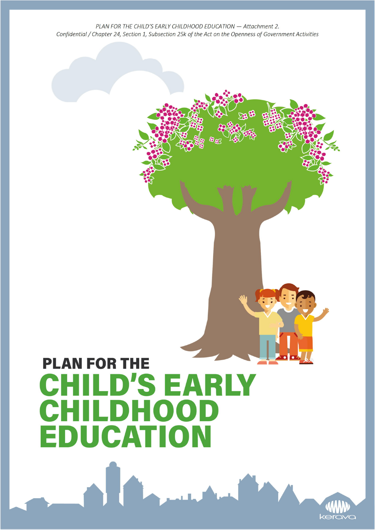# **PLAN FOR THE** CHILD'S EARLY **CHILDHOOD EDUCATION**

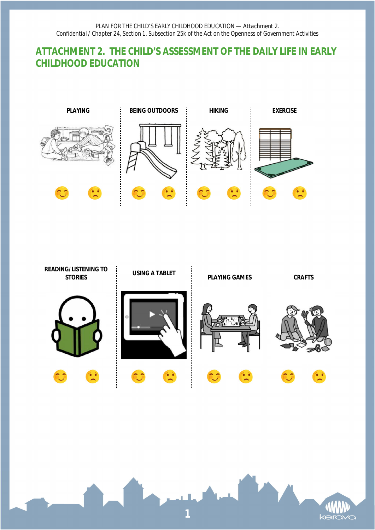## **ATTACHMENT 2. THE CHILD'S ASSESSMENT OF THE DAILY LIFE IN EARLY CHILDHOOD EDUCATION**





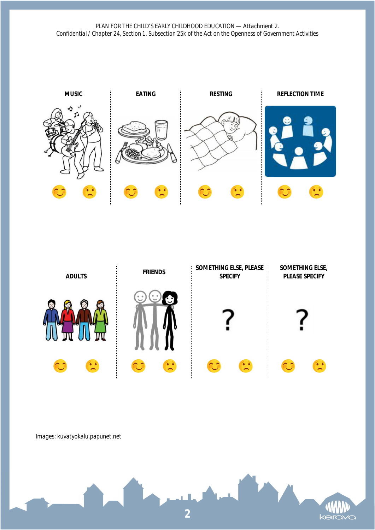



#### *Images: kuvatyokalu.papunet.net*